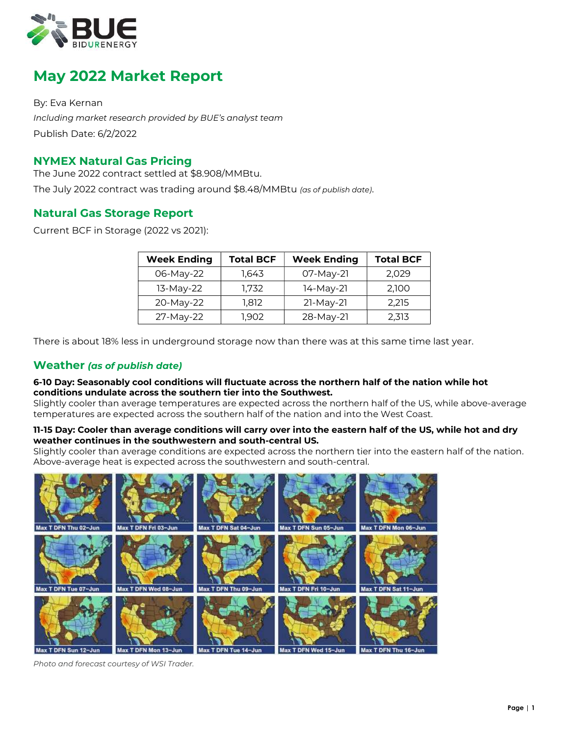

# May 2022 Market Report

By: Eva Kernan Including market research provided by BUE's analyst team Publish Date: 6/2/2022

# NYMEX Natural Gas Pricing

The June 2022 contract settled at \$8.908/MMBtu. The July 2022 contract was trading around \$8.48/MMBtu (as of publish date).

# Natural Gas Storage Report

Current BCF in Storage (2022 vs 2021):

| <b>Week Ending</b> | <b>Total BCF</b> | <b>Week Ending</b> | <b>Total BCF</b> |
|--------------------|------------------|--------------------|------------------|
| 06-May-22          | 1.643            | 07-May-21          | 2,029            |
| 13-May-22          | 1.732            | 14-May-21          | 2,100            |
| 20-May-22          | 1,812            | $21-May-21$        | 2,215            |
| 27-May-22          | 1.902            | 28-May-21          | 2,313            |

There is about 18% less in underground storage now than there was at this same time last year.

# Weather (as of publish date)

#### 6-10 Day: Seasonably cool conditions will fluctuate across the northern half of the nation while hot conditions undulate across the southern tier into the Southwest.

Slightly cooler than average temperatures are expected across the northern half of the US, while above-average temperatures are expected across the southern half of the nation and into the West Coast.

### 11-15 Day: Cooler than average conditions will carry over into the eastern half of the US, while hot and dry weather continues in the southwestern and south-central US.

Slightly cooler than average conditions are expected across the northern tier into the eastern half of the nation. Above-average heat is expected across the southwestern and south-central.



Photo and forecast courtesy of WSI Trader.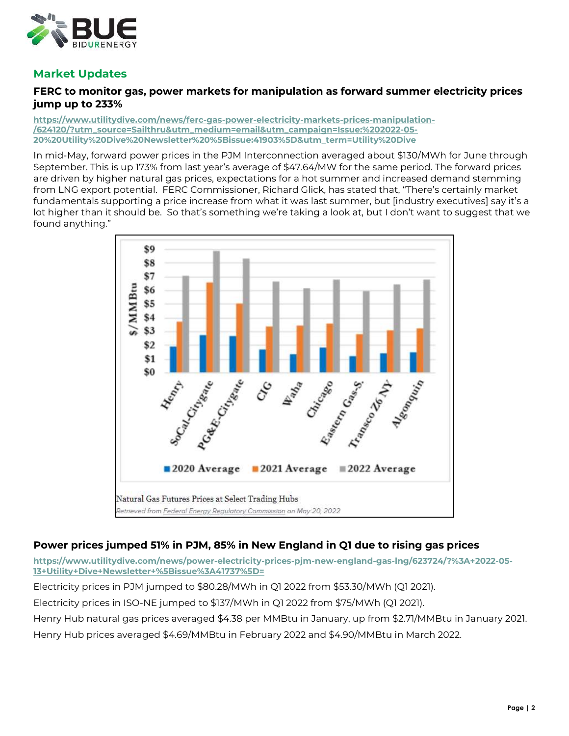

# Market Updates

# FERC to monitor gas, power markets for manipulation as forward summer electricity prices jump up to 233%

https://www.utilitydive.com/news/ferc-gas-power-electricity-markets-prices-manipulation- /624120/?utm\_source=Sailthru&utm\_medium=email&utm\_campaign=Issue:%202022-05- 20%20Utility%20Dive%20Newsletter%20%5Bissue:41903%5D&utm\_term=Utility%20Dive

In mid-May, forward power prices in the PJM Interconnection averaged about \$130/MWh for June through September. This is up 173% from last year's average of \$47.64/MW for the same period. The forward prices are driven by higher natural gas prices, expectations for a hot summer and increased demand stemming from LNG export potential. FERC Commissioner, Richard Glick, has stated that, "There's certainly market fundamentals supporting a price increase from what it was last summer, but [industry executives] say it's a lot higher than it should be. So that's something we're taking a look at, but I don't want to suggest that we found anything."



# Power prices jumped 51% in PJM, 85% in New England in Q1 due to rising gas prices

https://www.utilitydive.com/news/power-electricity-prices-pjm-new-england-gas-lng/623724/?%3A+2022-05- 13+Utility+Dive+Newsletter+%5Bissue%3A41737%5D=

Electricity prices in PJM jumped to \$80.28/MWh in Q1 2022 from \$53.30/MWh (Q1 2021). Electricity prices in ISO-NE jumped to \$137/MWh in Q1 2022 from \$75/MWh (Q1 2021). Henry Hub natural gas prices averaged \$4.38 per MMBtu in January, up from \$2.71/MMBtu in January 2021. Henry Hub prices averaged \$4.69/MMBtu in February 2022 and \$4.90/MMBtu in March 2022.